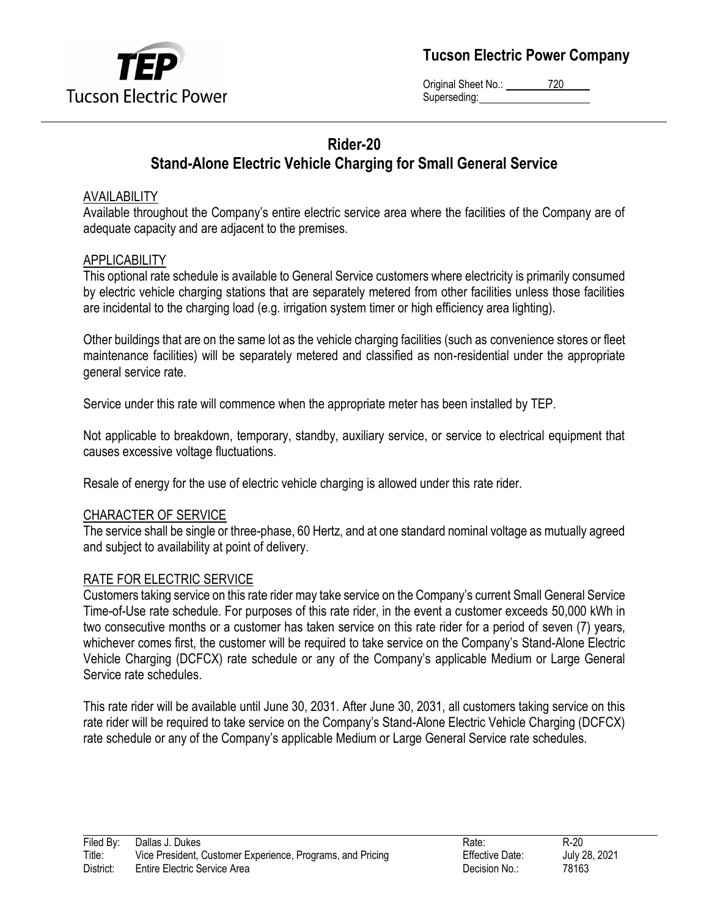

**Tucson Electric Power Company**

Original Sheet No.: 720 Superseding:

# **Rider-20 Stand-Alone Electric Vehicle Charging for Small General Service**

# AVAILABILITY

Available throughout the Company's entire electric service area where the facilities of the Company are of adequate capacity and are adjacent to the premises.

## APPLICABILITY

This optional rate schedule is available to General Service customers where electricity is primarily consumed by electric vehicle charging stations that are separately metered from other facilities unless those facilities are incidental to the charging load (e.g. irrigation system timer or high efficiency area lighting).

Other buildings that are on the same lot as the vehicle charging facilities (such as convenience stores or fleet maintenance facilities) will be separately metered and classified as non-residential under the appropriate general service rate.

Service under this rate will commence when the appropriate meter has been installed by TEP.

Not applicable to breakdown, temporary, standby, auxiliary service, or service to electrical equipment that causes excessive voltage fluctuations.

Resale of energy for the use of electric vehicle charging is allowed under this rate rider.

#### CHARACTER OF SERVICE

The service shall be single or three-phase, 60 Hertz, and at one standard nominal voltage as mutually agreed and subject to availability at point of delivery.

#### RATE FOR ELECTRIC SERVICE

Customers taking service on this rate rider may take service on the Company's current Small General Service Time-of-Use rate schedule. For purposes of this rate rider, in the event a customer exceeds 50,000 kWh in two consecutive months or a customer has taken service on this rate rider for a period of seven (7) years, whichever comes first, the customer will be required to take service on the Company's Stand-Alone Electric Vehicle Charging (DCFCX) rate schedule or any of the Company's applicable Medium or Large General Service rate schedules.

This rate rider will be available until June 30, 2031. After June 30, 2031, all customers taking service on this rate rider will be required to take service on the Company's Stand-Alone Electric Vehicle Charging (DCFCX) rate schedule or any of the Company's applicable Medium or Large General Service rate schedules.